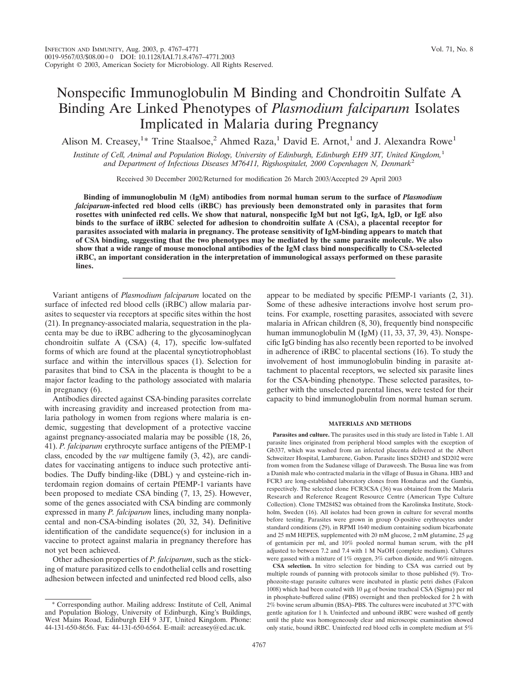# Nonspecific Immunoglobulin M Binding and Chondroitin Sulfate A Binding Are Linked Phenotypes of *Plasmodium falciparum* Isolates Implicated in Malaria during Pregnancy

Alison M. Creasey,<sup>1\*</sup> Trine Staalsoe,<sup>2</sup> Ahmed Raza,<sup>1</sup> David E. Arnot,<sup>1</sup> and J. Alexandra Rowe<sup>1</sup>

*Institute of Cell, Animal and Population Biology, University of Edinburgh, Edinburgh EH9 3JT, United Kingdom,*<sup>1</sup> *and Department of Infectious Diseases M76411, Rigshospitalet, 2000 Copenhagen N, Denmark*<sup>2</sup>

Received 30 December 2002/Returned for modification 26 March 2003/Accepted 29 April 2003

**Binding of immunoglobulin M (IgM) antibodies from normal human serum to the surface of** *Plasmodium falciparum***-infected red blood cells (iRBC) has previously been demonstrated only in parasites that form rosettes with uninfected red cells. We show that natural, nonspecific IgM but not IgG, IgA, IgD, or IgE also binds to the surface of iRBC selected for adhesion to chondroitin sulfate A (CSA), a placental receptor for parasites associated with malaria in pregnancy. The protease sensitivity of IgM-binding appears to match that of CSA binding, suggesting that the two phenotypes may be mediated by the same parasite molecule. We also show that a wide range of mouse monoclonal antibodies of the IgM class bind nonspecifically to CSA-selected iRBC, an important consideration in the interpretation of immunological assays performed on these parasite lines.**

Variant antigens of *Plasmodium falciparum* located on the surface of infected red blood cells (iRBC) allow malaria parasites to sequester via receptors at specific sites within the host (21). In pregnancy-associated malaria, sequestration in the placenta may be due to iRBC adhering to the glycosaminoglycan chondroitin sulfate A (CSA) (4, 17), specific low-sulfated forms of which are found at the placental syncytiotrophoblast surface and within the intervillous spaces (1). Selection for parasites that bind to CSA in the placenta is thought to be a major factor leading to the pathology associated with malaria in pregnancy (6).

Antibodies directed against CSA-binding parasites correlate with increasing gravidity and increased protection from malaria pathology in women from regions where malaria is endemic, suggesting that development of a protective vaccine against pregnancy-associated malaria may be possible (18, 26, 41). *P. falciparum* erythrocyte surface antigens of the PfEMP-1 class, encoded by the *var* multigene family (3, 42), are candidates for vaccinating antigens to induce such protective antibodies. The Duffy binding-like (DBL)  $\gamma$  and cysteine-rich interdomain region domains of certain PfEMP-1 variants have been proposed to mediate CSA binding (7, 13, 25). However, some of the genes associated with CSA binding are commonly expressed in many *P. falciparum* lines, including many nonplacental and non-CSA-binding isolates (20, 32, 34). Definitive identification of the candidate sequence(s) for inclusion in a vaccine to protect against malaria in pregnancy therefore has not yet been achieved.

Other adhesion properties of *P. falciparum*, such as the sticking of mature parasitized cells to endothelial cells and rosetting adhesion between infected and uninfected red blood cells, also

\* Corresponding author. Mailing address: Institute of Cell, Animal and Population Biology, University of Edinburgh, King's Buildings, West Mains Road, Edinburgh EH 9 3JT, United Kingdom. Phone: 44-131-650-8656. Fax: 44-131-650-6564. E-mail: acreasey@ed.ac.uk.

appear to be mediated by specific PfEMP-1 variants (2, 31). Some of these adhesive interactions involve host serum proteins. For example, rosetting parasites, associated with severe malaria in African children (8, 30), frequently bind nonspecific human immunoglobulin M (IgM) (11, 33, 37, 39, 43). Nonspecific IgG binding has also recently been reported to be involved in adherence of iRBC to placental sections (16). To study the involvement of host immunoglobulin binding in parasite attachment to placental receptors, we selected six parasite lines for the CSA-binding phenotype. These selected parasites, together with the unselected parental lines, were tested for their capacity to bind immunoglobulin from normal human serum.

### **MATERIALS AND METHODS**

**Parasites and culture.** The parasites used in this study are listed in Table 1. All parasite lines originated from peripheral blood samples with the exception of Gb337, which was washed from an infected placenta delivered at the Albert Schweitzer Hospital, Lambarene, Gabon. Parasite lines SD2H3 and SD202 were from women from the Sudanese village of Daraweesh. The Busua line was from a Danish male who contracted malaria in the village of Busua in Ghana. HB3 and FCR3 are long-established laboratory clones from Honduras and the Gambia, respectively. The selected clone FCR3CSA (36) was obtained from the Malaria Research and Reference Reagent Resource Centre (American Type Culture Collection). Clone TM284S2 was obtained from the Karolinska Institute, Stockholm, Sweden (16). All isolates had been grown in culture for several months before testing. Parasites were grown in group O-positive erythrocytes under standard conditions (29), in RPMI 1640 medium containing sodium bicarbonate and 25 mM HEPES, supplemented with 20 mM glucose, 2 mM glutamine, 25  $\mu$ g of gentamicin per ml, and 10% pooled normal human serum, with the pH adjusted to between 7.2 and 7.4 with 1 M NaOH (complete medium). Cultures were gassed with a mixture of 1% oxygen, 3% carbon dioxide, and 96% nitrogen.

**CSA selection.** In vitro selection for binding to CSA was carried out by multiple rounds of panning with protocols similar to those published (9). Trophozoite-stage parasite cultures were incubated in plastic petri dishes (Falcon 1008) which had been coated with 10  $\mu$ g of bovine tracheal CSA (Sigma) per ml in phosphate-buffered saline (PBS) overnight and then preblocked for 2 h with 2% bovine serum albumin (BSA)–PBS. The cultures were incubated at 37°C with gentle agitation for 1 h. Uninfected and unbound iRBC were washed off gently until the plate was homogeneously clear and microscopic examination showed only static, bound iRBC. Uninfected red blood cells in complete medium at 5%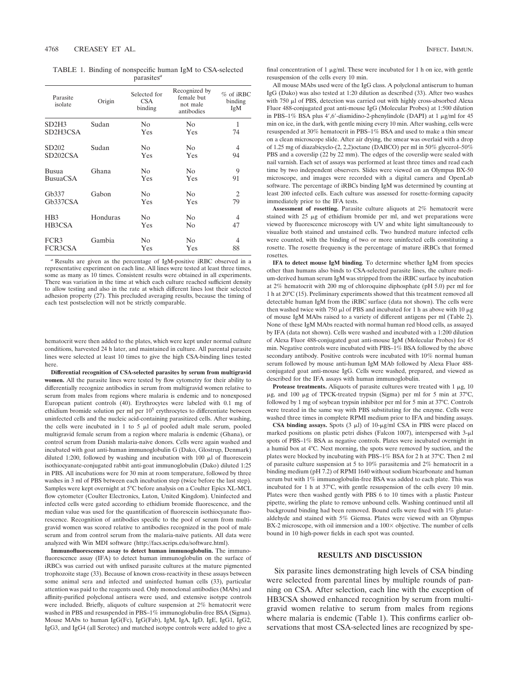TABLE 1. Binding of nonspecific human IgM to CSA-selected parasites*<sup>a</sup>*

| Parasite<br>isolate   | Origin   | Selected for<br><b>CSA</b><br>binding | Recognized by<br>female but<br>not male<br>antibodies | $%$ of iRBC<br>binding<br>IgM |
|-----------------------|----------|---------------------------------------|-------------------------------------------------------|-------------------------------|
| SD2H3                 | Sudan    | N <sub>0</sub>                        | N <sub>0</sub>                                        | 1                             |
| SD2H3CSA              |          | Yes                                   | Yes                                                   | 74                            |
| SD <sub>202</sub>     | Sudan    | N <sub>0</sub>                        | N <sub>0</sub>                                        | 4                             |
| SD <sub>202</sub> CSA |          | Yes                                   | Yes                                                   | 94                            |
| Busua                 | Ghana    | No                                    | N <sub>0</sub>                                        | 9                             |
| <b>BusuaCSA</b>       |          | Yes                                   | Yes                                                   | 91                            |
| Gb337                 | Gabon    | N <sub>0</sub>                        | N <sub>0</sub>                                        | 2                             |
| Gb <sub>337</sub> CSA |          | Yes                                   | Yes                                                   | 79                            |
| H <sub>B</sub> 3      | Honduras | N <sub>0</sub>                        | N <sub>0</sub>                                        | 4                             |
| HB3CSA                |          | Yes                                   | N <sub>0</sub>                                        | 47                            |
| FCR <sub>3</sub>      | Gambia   | No                                    | N <sub>0</sub>                                        | 4                             |
| FCR3CSA               |          | Yes                                   | Yes                                                   | 88                            |

*<sup>a</sup>* Results are given as the percentage of IgM-positive iRBC observed in a representative experiment on each line. All lines were tested at least three times, some as many as 10 times. Consistent results were obtained in all experiments. There was variation in the time at which each culture reached sufficient density to allow testing and also in the rate at which different lines lost their selected adhesion property (27). This precluded averaging results, because the timing of each test postselection will not be strictly comparable.

hematocrit were then added to the plates, which were kept under normal culture conditions, harvested 24 h later, and maintained in culture. All parental parasite lines were selected at least 10 times to give the high CSA-binding lines tested here.

**Differential recognition of CSA-selected parasites by serum from multigravid women.** All the parasite lines were tested by flow cytometry for their ability to differentially recognize antibodies in serum from multigravid women relative to serum from males from regions where malaria is endemic and to nonexposed European patient controls (40). Erythrocytes were labeled with 0.1 mg of ethidium bromide solution per ml per 10<sup>5</sup> erythrocytes to differentiate between uninfected cells and the nucleic acid-containing parasitized cells. After washing, the cells were incubated in 1 to 5  $\mu$ l of pooled adult male serum, pooled multigravid female serum from a region where malaria is endemic (Ghana), or control serum from Danish malaria-naïve donors. Cells were again washed and incubated with goat anti-human immunoglobulin G (Dako, Glostrup, Denmark) diluted 1:200, followed by washing and incubation with 100  $\mu$ l of fluorescein isothiocyanate-conjugated rabbit anti-goat immunoglobulin (Dako) diluted 1:25 in PBS. All incubations were for 30 min at room temperature, followed by three washes in 3 ml of PBS between each incubation step (twice before the last step). Samples were kept overnight at 5°C before analysis on a Coulter Epics XL-MCL flow cytometer (Coulter Electronics, Luton, United Kingdom). Uninfected and infected cells were gated according to ethidium bromide fluorescence, and the median value was used for the quantification of fluorescein isothiocyanate fluorescence. Recognition of antibodies specific to the pool of serum from multigravid women was scored relative to antibodies recognized in the pool of male serum and from control serum from the malaria-naïve patients. All data were analyzed with Win MDI software (http://facs.scrips.edu/software.html).

**Immunofluorescence assay to detect human immunoglobulin.** The immunofluorescence assay (IFA) to detect human immunoglobulin on the surface of iRBCs was carried out with unfixed parasite cultures at the mature pigmented trophozoite stage (33). Because of known cross-reactivity in these assays between some animal sera and infected and uninfected human cells (33), particular attention was paid to the reagents used. Only monoclonal antibodies (MAbs) and affinity-purified polyclonal antisera were used, and extensive isotype controls were included. Briefly, aliquots of culture suspension at 2% hematocrit were washed in PBS and resuspended in PBS–1% immunoglobulin-free BSA (Sigma). Mouse MAbs to human IgG(Fc), IgG(Fab), IgM, IgA, IgD, IgE, IgG1, IgG2, IgG3, and IgG4 (all Serotec) and matched isotype controls were added to give a

final concentration of 1  $\mu$ g/ml. These were incubated for 1 h on ice, with gentle resuspension of the cells every 10 min.

All mouse MAbs used were of the IgG class. A polyclonal antiserum to human IgG (Dako) was also tested at 1:20 dilution as described (33). After two washes with 750 ul of PBS, detection was carried out with highly cross-absorbed Alexa Fluor 488-conjugated goat anti-mouse IgG (Molecular Probes) at 1:500 dilution in PBS–1% BSA plus 4',6'-diamidino-2-phenylindole (DAPI) at 1  $\mu$ g/ml for 45 min on ice, in the dark, with gentle mixing every 10 min. After washing, cells were resuspended at 30% hematocrit in PBS–1% BSA and used to make a thin smear on a clean microscope slide. After air drying, the smear was overlaid with a drop of 1.25 mg of diazabicyclo-(2, 2,2)octane (DABCO) per ml in 50% glycerol–50% PBS and a coverslip (22 by 22 mm). The edges of the coverslip were sealed with nail varnish. Each set of assays was performed at least three times and read each time by two independent observers. Slides were viewed on an Olympus BX-50 microscope, and images were recorded with a digital camera and OpenLab software. The percentage of iRBCs binding IgM was determined by counting at least 200 infected cells. Each culture was assessed for rosette-forming capacity immediately prior to the IFA tests.

**Assessment of rosetting.** Parasite culture aliquots at 2% hematocrit were stained with  $25 \mu g$  of ethidium bromide per ml, and wet preparations were viewed by fluorescence microscopy with UV and white light simultaneously to visualize both stained and unstained cells. Two hundred mature infected cells were counted, with the binding of two or more uninfected cells constituting a rosette. The rosette frequency is the percentage of mature iRBCs that formed rosettes.

**IFA to detect mouse IgM binding***.* To determine whether IgM from species other than humans also binds to CSA-selected parasite lines, the culture medium-derived human serum IgM was stripped from the iRBC surface by incubation at 2% hematocrit with 200 mg of chloroquine diphosphate (pH 5.0) per ml for 1 h at 20°C (15). Preliminary experiments showed that this treatment removed all detectable human IgM from the iRBC surface (data not shown). The cells were then washed twice with 750  $\mu$ l of PBS and incubated for 1 h as above with 10  $\mu$ g of mouse IgM MAbs raised to a variety of different antigens per ml (Table 2). None of these IgM MAbs reacted with normal human red blood cells, as assayed by IFA (data not shown). Cells were washed and incubated with a 1:200 dilution of Alexa Fluor 488-conjugated goat anti-mouse IgM (Molecular Probes) for 45 min. Negative controls were incubated with PBS–1% BSA followed by the above secondary antibody. Positive controls were incubated with 10% normal human serum followed by mouse anti-human IgM MAb followed by Alexa Fluor 488 conjugated goat anti-mouse IgG. Cells were washed, prepared, and viewed as described for the IFA assays with human immunoglobulin.

**Protease treatments.** Aliquots of parasite cultures were treated with  $1 \mu$ g, 10  $\mu$ g, and 100  $\mu$ g of TPCK-treated trypsin (Sigma) per ml for 5 min at 37°C, followed by 1 mg of soybean trypsin inhibitor per ml for 5 min at 37°C. Controls were treated in the same way with PBS substituting for the enzyme. Cells were washed three times in complete RPMI medium prior to IFA and binding assays.

**CSA binding assays.** Spots  $(3 \mu)$  of  $10-\mu$ g/ml CSA in PBS were placed on marked positions on plastic petri dishes (Falcon 1007), interspersed with  $3-\mu$ l spots of PBS–1% BSA as negative controls. Plates were incubated overnight in a humid box at 4°C. Next morning, the spots were removed by suction, and the plates were blocked by incubating with PBS–1% BSA for 2 h at 37°C. Then 2 ml of parasite culture suspension at 5 to 10% parasitemia and 2% hematocrit in a binding medium (pH 7.2) of RPMI 1640 without sodium bicarbonate and human serum but with 1% immunoglobulin-free BSA was added to each plate. This was incubated for 1 h at 37°C, with gentle resuspension of the cells every 10 min. Plates were then washed gently with PBS 6 to 10 times with a plastic Pasteur pipette, swirling the plate to remove unbound cells. Washing continued until all background binding had been removed. Bound cells were fixed with 1% glutaraldehyde and stained with 5% Giemsa. Plates were viewed with an Olympus BX-2 microscope, with oil immersion and a  $100\times$  objective. The number of cells bound in 10 high-power fields in each spot was counted.

## **RESULTS AND DISCUSSION**

Six parasite lines demonstrating high levels of CSA binding were selected from parental lines by multiple rounds of panning on CSA. After selection, each line with the exception of HB3CSA showed enhanced recognition by serum from multigravid women relative to serum from males from regions where malaria is endemic (Table 1). This confirms earlier observations that most CSA-selected lines are recognized by spe-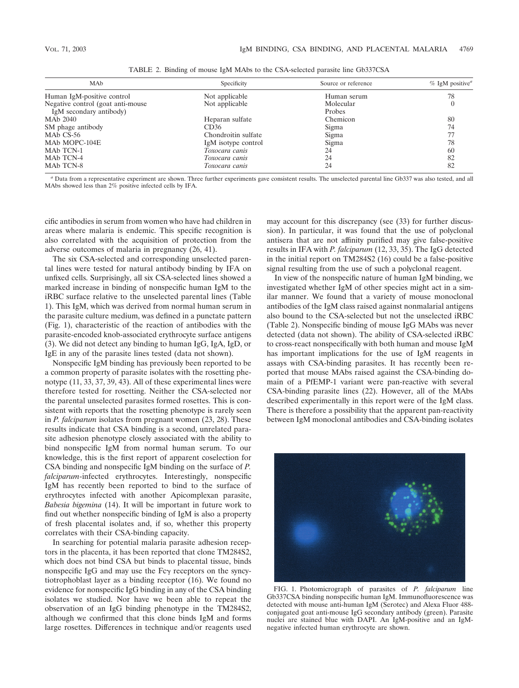| MA <sub>b</sub>                    | Specificity         | Source or reference | $%$ IgM positive <sup><i>a</i></sup> |
|------------------------------------|---------------------|---------------------|--------------------------------------|
| Human IgM-positive control         | Not applicable      | Human serum         | 78                                   |
| Negative control (goat anti-mouse) | Not applicable      | Molecular           |                                      |
| IgM secondary antibody)            |                     | Probes              |                                      |
| MAb 2040                           | Heparan sulfate     | Chemicon            | 80                                   |
| SM phage antibody                  | CD36                | Sigma               | 74                                   |
| MA <sub>b</sub> C <sub>S</sub> -56 | Chondroitin sulfate | Sigma               |                                      |
| MAb MOPC-104E                      | IgM isotype control | Sigma               | 78                                   |
| MAb TCN-1                          | Toxocara canis      | 24                  | 60                                   |
| MAb TCN-4                          | Toxocara canis      | 24                  | 82                                   |
| MAb TCN-8                          | Toxocara canis      | 24                  | 82                                   |

TABLE 2. Binding of mouse IgM MAbs to the CSA-selected parasite line Gb337CSA

*<sup>a</sup>* Data from a representative experiment are shown. Three further experiments gave consistent results. The unselected parental line Gb337 was also tested, and all MAbs showed less than 2% positive infected cells by IFA.

cific antibodies in serum from women who have had children in areas where malaria is endemic. This specific recognition is also correlated with the acquisition of protection from the adverse outcomes of malaria in pregnancy (26, 41).

The six CSA-selected and corresponding unselected parental lines were tested for natural antibody binding by IFA on unfixed cells. Surprisingly, all six CSA-selected lines showed a marked increase in binding of nonspecific human IgM to the iRBC surface relative to the unselected parental lines (Table 1). This IgM, which was derived from normal human serum in the parasite culture medium, was defined in a punctate pattern (Fig. 1), characteristic of the reaction of antibodies with the parasite-encoded knob-associated erythrocyte surface antigens (3). We did not detect any binding to human IgG, IgA, IgD, or IgE in any of the parasite lines tested (data not shown).

Nonspecific IgM binding has previously been reported to be a common property of parasite isolates with the rosetting phenotype (11, 33, 37, 39, 43). All of these experimental lines were therefore tested for rosetting. Neither the CSA-selected nor the parental unselected parasites formed rosettes. This is consistent with reports that the rosetting phenotype is rarely seen in *P. falciparum* isolates from pregnant women (23, 28). These results indicate that CSA binding is a second, unrelated parasite adhesion phenotype closely associated with the ability to bind nonspecific IgM from normal human serum. To our knowledge, this is the first report of apparent coselection for CSA binding and nonspecific IgM binding on the surface of *P. falciparum*-infected erythrocytes. Interestingly, nonspecific IgM has recently been reported to bind to the surface of erythrocytes infected with another Apicomplexan parasite, *Babesia bigemina* (14). It will be important in future work to find out whether nonspecific binding of IgM is also a property of fresh placental isolates and, if so, whether this property correlates with their CSA-binding capacity.

In searching for potential malaria parasite adhesion receptors in the placenta, it has been reported that clone TM284S2, which does not bind CSA but binds to placental tissue, binds nonspecific IgG and may use the Fc $\gamma$  receptors on the syncytiotrophoblast layer as a binding receptor (16). We found no evidence for nonspecific IgG binding in any of the CSA binding isolates we studied. Nor have we been able to repeat the observation of an IgG binding phenotype in the TM284S2, although we confirmed that this clone binds IgM and forms large rosettes. Differences in technique and/or reagents used

may account for this discrepancy (see (33) for further discussion). In particular, it was found that the use of polyclonal antisera that are not affinity purified may give false-positive results in IFA with *P. falciparum* (12, 33, 35). The IgG detected in the initial report on TM284S2 (16) could be a false-positive signal resulting from the use of such a polyclonal reagent.

In view of the nonspecific nature of human IgM binding, we investigated whether IgM of other species might act in a similar manner. We found that a variety of mouse monoclonal antibodies of the IgM class raised against nonmalarial antigens also bound to the CSA-selected but not the unselected iRBC (Table 2). Nonspecific binding of mouse IgG MAbs was never detected (data not shown). The ability of CSA-selected iRBC to cross-react nonspecifically with both human and mouse IgM has important implications for the use of IgM reagents in assays with CSA-binding parasites. It has recently been reported that mouse MAbs raised against the CSA-binding domain of a PfEMP-1 variant were pan-reactive with several CSA-binding parasite lines (22). However, all of the MAbs described experimentally in this report were of the IgM class. There is therefore a possibility that the apparent pan-reactivity between IgM monoclonal antibodies and CSA-binding isolates



FIG. 1. Photomicrograph of parasites of *P. falciparum* line Gb337CSA binding nonspecific human IgM. Immunofluorescence was detected with mouse anti-human IgM (Serotec) and Alexa Fluor 488 conjugated goat anti-mouse IgG secondary antibody (green). Parasite nuclei are stained blue with DAPI. An IgM-positive and an IgMnegative infected human erythrocyte are shown.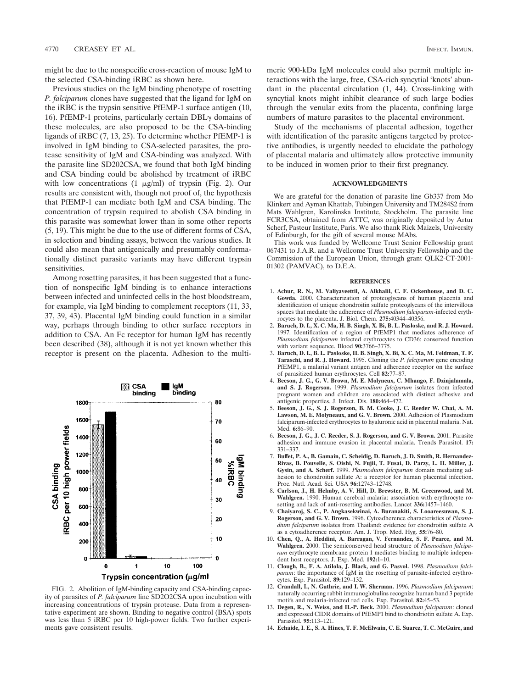might be due to the nonspecific cross-reaction of mouse IgM to the selected CSA-binding iRBC as shown here.

Previous studies on the IgM binding phenotype of rosetting *P. falciparum* clones have suggested that the ligand for IgM on the iRBC is the trypsin sensitive PfEMP-1 surface antigen (10, 16). PfEMP-1 proteins, particularly certain  $DBL<sub>\gamma</sub>$  domains of these molecules, are also proposed to be the CSA-binding ligands of iRBC (7, 13, 25). To determine whether PfEMP-1 is involved in IgM binding to CSA-selected parasites, the protease sensitivity of IgM and CSA-binding was analyzed. With the parasite line SD202CSA, we found that both IgM binding and CSA binding could be abolished by treatment of iRBC with low concentrations  $(1 \mu g/ml)$  of trypsin (Fig. 2). Our results are consistent with, though not proof of, the hypothesis that PfEMP-1 can mediate both IgM and CSA binding. The concentration of trypsin required to abolish CSA binding in this parasite was somewhat lower than in some other reports (5, 19). This might be due to the use of different forms of CSA, in selection and binding assays, between the various studies. It could also mean that antigenically and presumably conformationally distinct parasite variants may have different trypsin sensitivities.

Among rosetting parasites, it has been suggested that a function of nonspecific IgM binding is to enhance interactions between infected and uninfected cells in the host bloodstream, for example, via IgM binding to complement receptors (11, 33, 37, 39, 43). Placental IgM binding could function in a similar way, perhaps through binding to other surface receptors in addition to CSA. An Fc receptor for human IgM has recently been described (38), although it is not yet known whether this receptor is present on the placenta. Adhesion to the multi-



FIG. 2. Abolition of IgM-binding capacity and CSA-binding capacity of parasites of *P. falciparum* line SD2O2CSA upon incubation with increasing concentrations of trypsin protease. Data from a representative experiment are shown. Binding to negative control (BSA) spots was less than 5 iRBC per 10 high-power fields. Two further experiments gave consistent results.

meric 900-kDa IgM molecules could also permit multiple interactions with the large, free, CSA-rich syncytial 'knots' abundant in the placental circulation (1, 44). Cross-linking with syncytial knots might inhibit clearance of such large bodies through the venular exits from the placenta, confining large numbers of mature parasites to the placental environment.

Study of the mechanisms of placental adhesion, together with identification of the parasite antigens targeted by protective antibodies, is urgently needed to elucidate the pathology of placental malaria and ultimately allow protective immunity to be induced in women prior to their first pregnancy.

## **ACKNOWLEDGMENTS**

We are grateful for the donation of parasite line Gb337 from Mo Klinkert and Ayman Khattab, Tubingen University and TM284S2 from Mats Wahlgren, Karolinska Institute, Stockholm. The parasite line FCR3CSA, obtained from ATTC, was originally deposited by Artur Scherf, Pasteur Institute, Paris. We also thank Rick Maizels, University of Edinburgh, for the gift of several mouse MAbs.

This work was funded by Wellcome Trust Senior Fellowship grant 067431 to J.A.R. and a Wellcome Trust University Fellowship and the Commission of the European Union, through grant QLK2-CT-2001- 01302 (PAMVAC), to D.E.A.

#### **REFERENCES**

- 1. **Achur, R. N., M. Valiyaveettil, A. Alkhalil, C. F. Ockenhouse, and D. C. Gowda.** 2000. Characterization of proteoglycans of human placenta and identification of unique chondroitin sulfate proteoglycans of the intervillous spaces that mediate the adherence of *Plasmodium falciparum*-infected erythrocytes to the placenta. J. Biol. Chem. **275:**40344–40356.
- 2. **Baruch, D. I., X. C. Ma, H. B. Singh, X. Bi, B. L. Pasloske, and R. J. Howard.** 1997. Identification of a region of PfEMP1 that mediates adherence of *Plasmodium falciparum* infected erythrocytes to CD36: conserved function with variant sequence. Blood **90:**3766–3775.
- 3. **Baruch, D. I., B. L. Pasloske, H. B. Singh, X. Bi, X. C. Ma, M. Feldman, T. F. Taraschi, and R. J. Howard.** 1995. Cloning the *P. falciparum* gene encoding PfEMP1, a malarial variant antigen and adherence receptor on the surface of parasitized human erythrocytes. Cell **82:**77–87.
- 4. **Beeson, J. G., G. V. Brown, M. E. Molyneux, C. Mhango, F. Dzinjalamala, and S. J. Rogerson.** 1999. *Plasmodium falciparum* isolates from infected pregnant women and children are associated with distinct adhesive and antigenic properties. J. Infect. Dis. **180:**464–472.
- 5. **Beeson, J. G., S. J. Rogerson, B. M. Cooke, J. C. Reeder W. Chai, A. M. Lawson, M. E. Molyneaux, and G. V. Brown.** 2000. Adhesion of Plasmodium falciparum-infected erythrocytes to hyaluronic acid in placental malaria. Nat. Med. **6:**86–90.
- 6. **Beeson, J. G., J. C. Reeder, S. J. Rogerson, and G. V. Brown.** 2001. Parasite adhesion and immune evasion in placental malaria. Trends Parasitol. **17:** 331–337.
- 7. **Buffet, P. A., B. Gamain, C. Scheidig, D. Baruch, J. D. Smith, R. Hernandez-Rivas, B. Pouvelle, S. Oishi, N. Fujii, T. Fusai, D. Parzy, L. H. Miller, J. Gysin, and A. Scherf.** 1999. *Plasmodium falciparum* domain mediating adhesion to chondroitin sulfate A: a receptor for human placental infection. Proc. Natl. Acad. Sci. USA **96:**12743–12748.
- 8. **Carlson, J., H. Helmby, A. V. Hill, D. Brewster, B. M. Greenwood, and M. Wahlgren.** 1990. Human cerebral malaria: association with erythrocyte rosetting and lack of anti-rosetting antibodies. Lancet **336:**1457–1460.
- 9. **Chaiyaroj, S. C., P. Angkasekwinai, A. Buranakiti, S. Looareesuwan, S. J. Rogerson, and G. V. Brown.** 1996. Cytoadherence characteristics of *Plasmodium falciparum* isolates from Thailand: evidence for chondroitin sulfate A as a cytoadherence receptor. Am. J. Trop. Med. Hyg. **55:**76–80.
- 10. **Chen, Q., A. Heddini, A. Barragan, V. Fernandez, S. F. Pearce, and M. Wahlgren.** 2000. The semiconserved head structure of *Plasmodium falciparum* erythrocyte membrane protein 1 mediates binding to multiple independent host receptors. J. Exp. Med. **192:**1–10.
- 11. **Clough, B., F. A. Atilola, J. Black, and G. Pasvol.** 1998. *Plasmodium falciparum*: the importance of IgM in the rosetting of parasite-infected erythrocytes. Exp. Parasitol. **89:**129–132.
- 12. **Crandall, I., N. Guthrie, and I. W. Sherman.** 1996. *Plasmodium falciparum*: naturally occurring rabbit immunoglobulins recognize human band 3 peptide motifs and malaria-infected red cells. Exp. Parasitol. **82:**45–53.
- 13. **Degen, R., N. Weiss, and H.-P. Beck.** 2000. *Plasmodium falciparum*: cloned and expressed CIDR domains of PfEMP1 bind to chondriotin sulfate A. Exp. Parasitol. **95:**113–121.
- 14. **Echaide, I. E., S. A. Hines, T. F. McElwain, C. E. Suarez, T. C. McGuire, and**